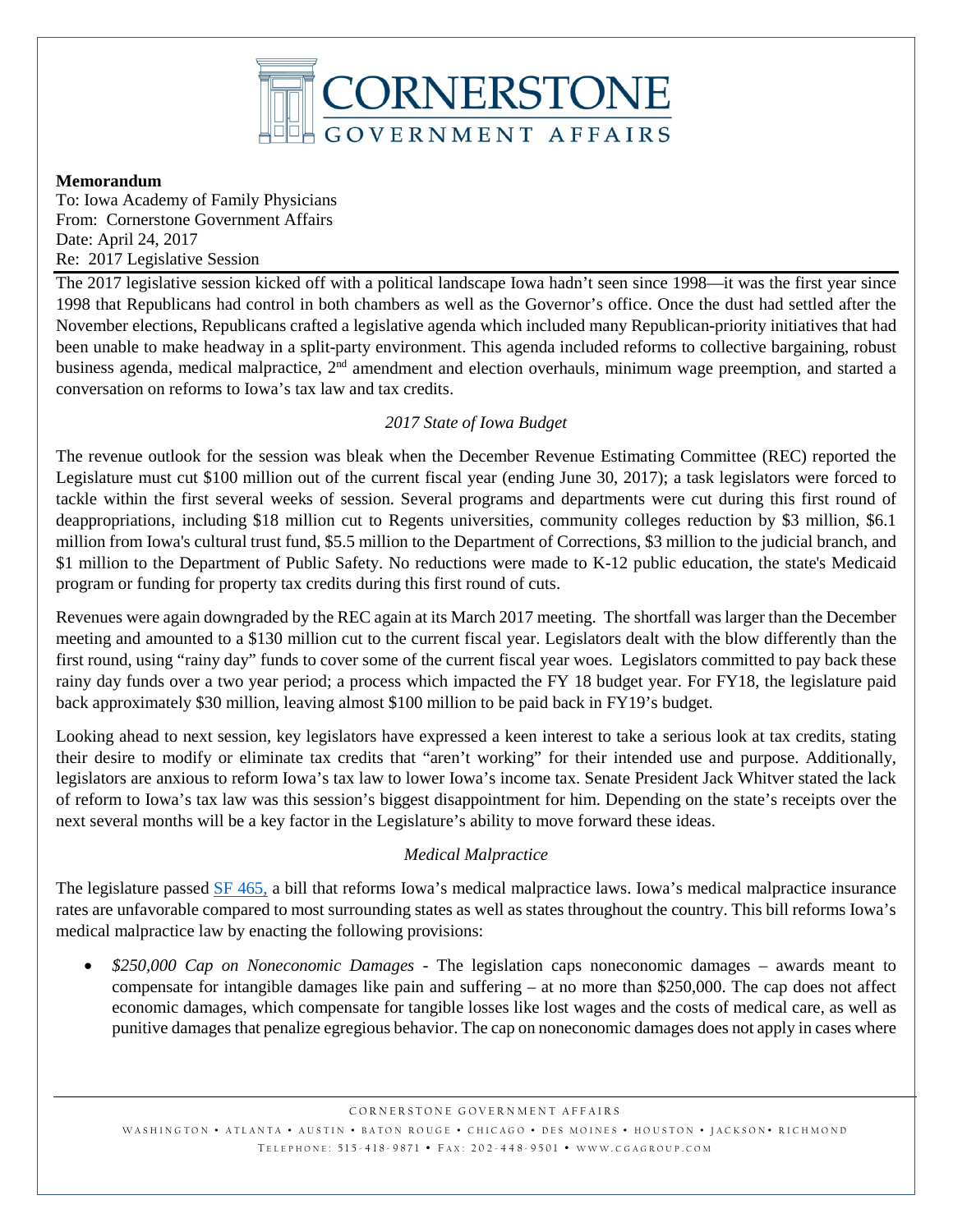

#### **Memorandum**

To: Iowa Academy of Family Physicians From: Cornerstone Government Affairs Date: April 24, 2017 Re: 2017 Legislative Session

The 2017 legislative session kicked off with a political landscape Iowa hadn't seen since 1998—it was the first year since 1998 that Republicans had control in both chambers as well as the Governor's office. Once the dust had settled after the November elections, Republicans crafted a legislative agenda which included many Republican-priority initiatives that had been unable to make headway in a split-party environment. This agenda included reforms to collective bargaining, robust business agenda, medical malpractice,  $2^{nd}$  amendment and election overhauls, minimum wage preemption, and started a conversation on reforms to Iowa's tax law and tax credits.

## *2017 State of Iowa Budget*

The revenue outlook for the session was bleak when the December Revenue Estimating Committee (REC) reported the Legislature must cut \$100 million out of the current fiscal year (ending June 30, 2017); a task legislators were forced to tackle within the first several weeks of session. Several programs and departments were cut during this first round of deappropriations, including \$18 million cut to Regents universities, community colleges reduction by \$3 million, \$6.1 million from Iowa's cultural trust fund, \$5.5 million to the Department of Corrections, \$3 million to the judicial branch, and \$1 million to the Department of Public Safety. No reductions were made to K-12 public education, the state's Medicaid program or funding for property tax credits during this first round of cuts.

Revenues were again downgraded by the REC again at its March 2017 meeting. The shortfall was larger than the December meeting and amounted to a \$130 million cut to the current fiscal year. Legislators dealt with the blow differently than the first round, using "rainy day" funds to cover some of the current fiscal year woes. Legislators committed to pay back these rainy day funds over a two year period; a process which impacted the FY 18 budget year. For FY18, the legislature paid back approximately \$30 million, leaving almost \$100 million to be paid back in FY19's budget.

Looking ahead to next session, key legislators have expressed a keen interest to take a serious look at tax credits, stating their desire to modify or eliminate tax credits that "aren't working" for their intended use and purpose. Additionally, legislators are anxious to reform Iowa's tax law to lower Iowa's income tax. Senate President Jack Whitver stated the lack of reform to Iowa's tax law was this session's biggest disappointment for him. Depending on the state's receipts over the next several months will be a key factor in the Legislature's ability to move forward these ideas.

### *Medical Malpractice*

The legislature passed [SF 465,](https://www.legis.iowa.gov/legislation/BillBook?ba=SF%20465&ga=87) a bill that reforms Iowa's medical malpractice laws. Iowa's medical malpractice insurance rates are unfavorable compared to most surrounding states as well as states throughout the country. This bill reforms Iowa's medical malpractice law by enacting the following provisions:

• *\$250,000 Cap on Noneconomic Damages -* The legislation caps noneconomic damages – awards meant to compensate for intangible damages like pain and suffering – at no more than \$250,000. The cap does not affect economic damages, which compensate for tangible losses like lost wages and the costs of medical care, as well as punitive damages that penalize egregious behavior. The cap on noneconomic damages does not apply in cases where

WASHINGTON • ATLANTA • AUSTIN • BATON ROUGE • CHICAGO • DES MOINES • HOUSTON • JACKSON • RICHMOND TELEPHONE: 515-418-9871 • FAX: 202-448-9501 • WWW.CGAGROUP.COM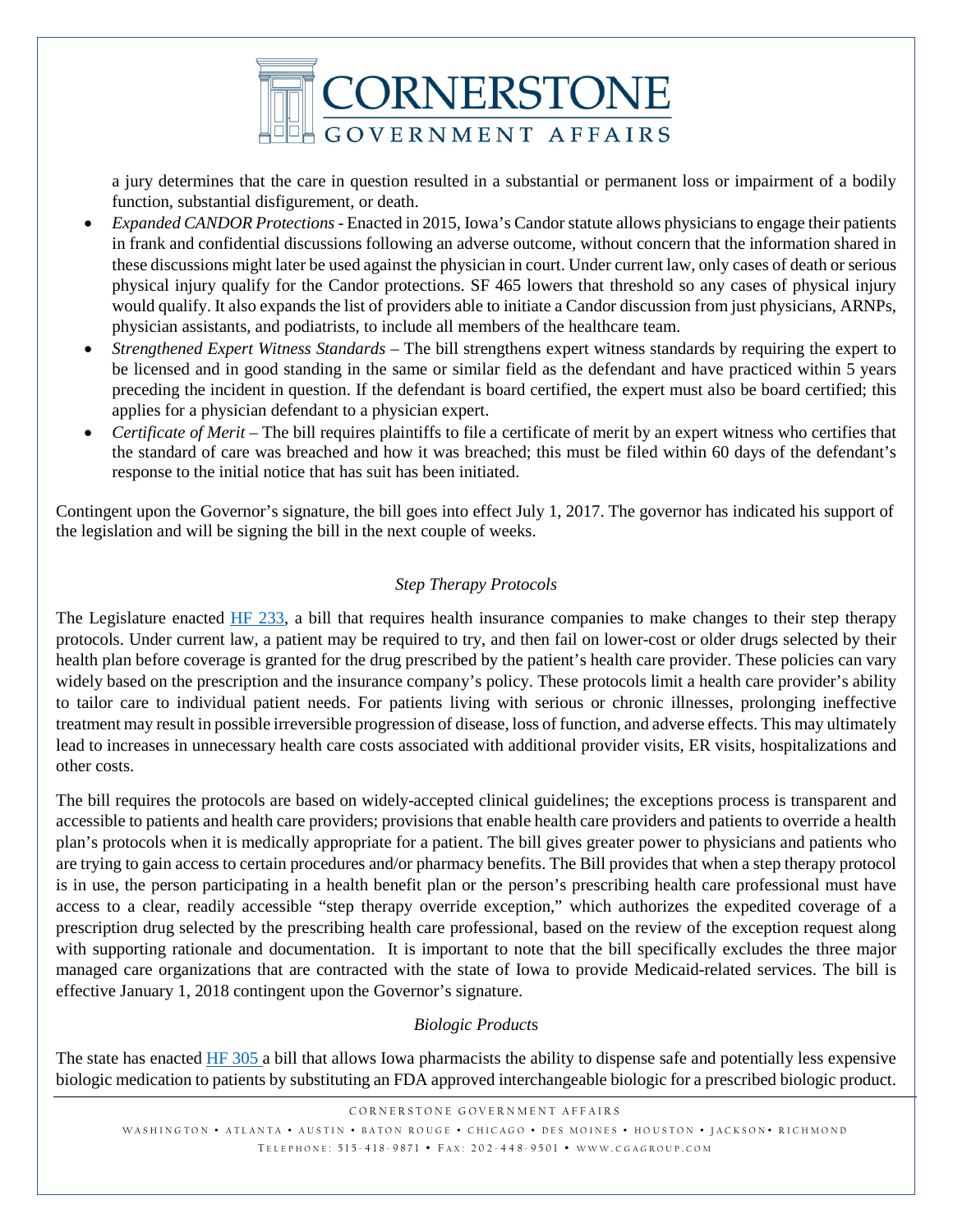

a jury determines that the care in question resulted in a substantial or permanent loss or impairment of a bodily function, substantial disfigurement, or death.

- *Expanded CANDOR Protections* Enacted in 2015, Iowa's Candor statute allows physicians to engage their patients in frank and confidential discussions following an adverse outcome, without concern that the information shared in these discussions might later be used against the physician in court. Under current law, only cases of death or serious physical injury qualify for the Candor protections. SF 465 lowers that threshold so any cases of physical injury would qualify. It also expands the list of providers able to initiate a Candor discussion from just physicians, ARNPs, physician assistants, and podiatrists, to include all members of the healthcare team.
- *Strengthened Expert Witness Standards –* The bill strengthens expert witness standards by requiring the expert to be licensed and in good standing in the same or similar field as the defendant and have practiced within 5 years preceding the incident in question. If the defendant is board certified, the expert must also be board certified; this applies for a physician defendant to a physician expert.
- *Certificate of Merit* The bill requires plaintiffs to file a certificate of merit by an expert witness who certifies that the standard of care was breached and how it was breached; this must be filed within 60 days of the defendant's response to the initial notice that has suit has been initiated.

Contingent upon the Governor's signature, the bill goes into effect July 1, 2017. The governor has indicated his support of the legislation and will be signing the bill in the next couple of weeks.

## *Step Therapy Protocols*

The Legislature enacted [HF 233,](https://www.legis.iowa.gov/legislation/BillBook?ga=87&ba=HF%20233) a bill that requires health insurance companies to make changes to their step therapy protocols. Under current law, a patient may be required to try, and then fail on lower-cost or older drugs selected by their health plan before coverage is granted for the drug prescribed by the patient's health care provider. These policies can vary widely based on the prescription and the insurance company's policy. These protocols limit a health care provider's ability to tailor care to individual patient needs. For patients living with serious or chronic illnesses, prolonging ineffective treatment may result in possible irreversible progression of disease, loss of function, and adverse effects. This may ultimately lead to increases in unnecessary health care costs associated with additional provider visits, ER visits, hospitalizations and other costs.

The bill requires the protocols are based on widely-accepted clinical guidelines; the exceptions process is transparent and accessible to patients and health care providers; provisions that enable health care providers and patients to override a health plan's protocols when it is medically appropriate for a patient. The bill gives greater power to physicians and patients who are trying to gain access to certain procedures and/or pharmacy benefits. The Bill provides that when a step therapy protocol is in use, the person participating in a health benefit plan or the person's prescribing health care professional must have access to a clear, readily accessible "step therapy override exception," which authorizes the expedited coverage of a prescription drug selected by the prescribing health care professional, based on the review of the exception request along with supporting rationale and documentation. It is important to note that the bill specifically excludes the three major managed care organizations that are contracted with the state of Iowa to provide Medicaid-related services. The bill is effective January 1, 2018 contingent upon the Governor's signature.

### *Biologic Product*s

The state has enacted [HF 305](https://www.legis.iowa.gov/legislation/BillBook?ga=87&ba=HF%20305) a bill that allows Iowa pharmacists the ability to dispense safe and potentially less expensive biologic medication to patients by substituting an FDA approved interchangeable biologic for a prescribed biologic product.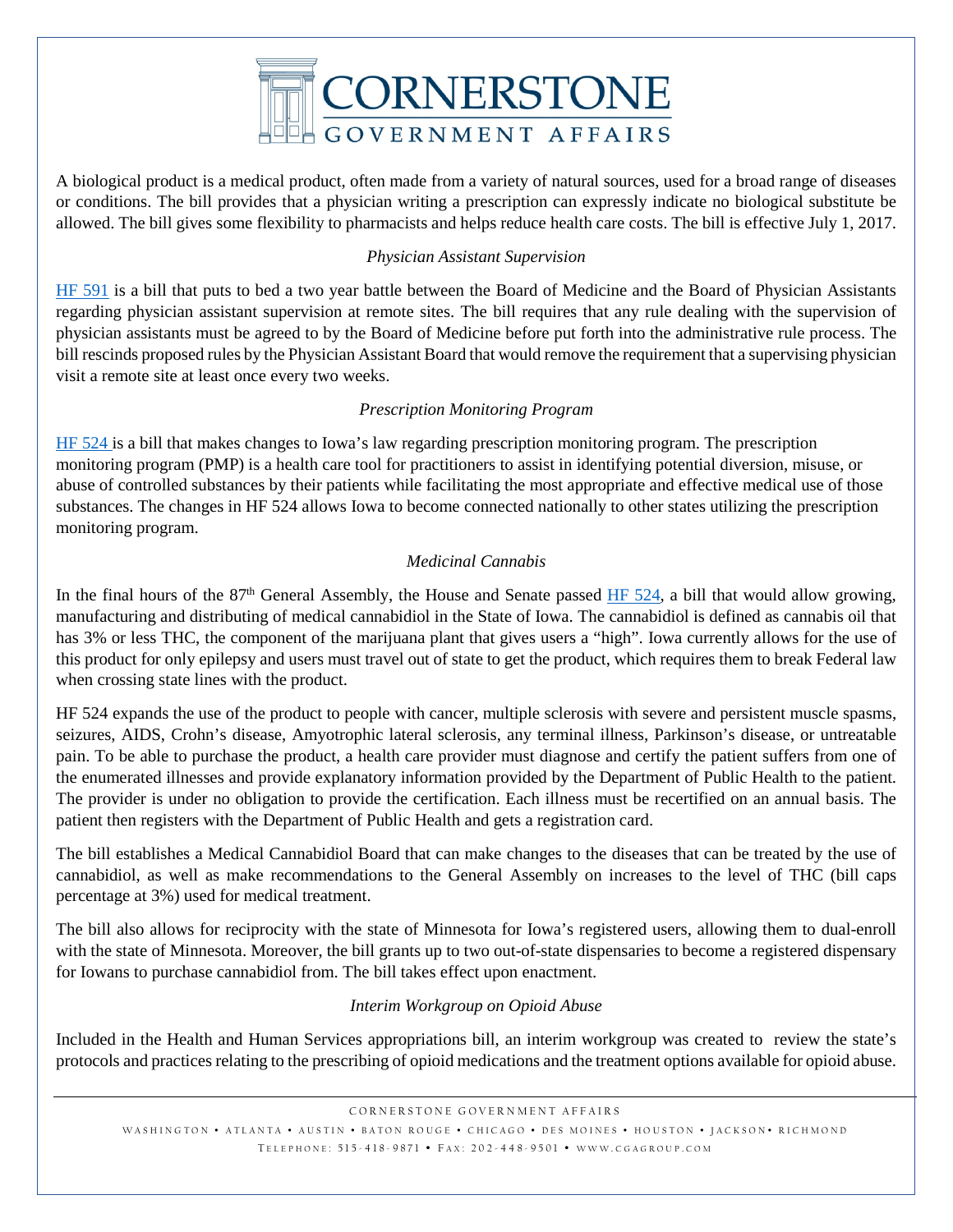

A biological product is a medical product, often made from a variety of natural sources, used for a broad range of diseases or conditions. The bill provides that a physician writing a prescription can expressly indicate no biological substitute be allowed. The bill gives some flexibility to pharmacists and helps reduce health care costs. The bill is effective July 1, 2017.

#### *Physician Assistant Supervision*

[HF 591](https://www.legis.iowa.gov/legislation/BillBook?ga=87&ba=hf591) is a bill that puts to bed a two year battle between the Board of Medicine and the Board of Physician Assistants regarding physician assistant supervision at remote sites. The bill requires that any rule dealing with the supervision of physician assistants must be agreed to by the Board of Medicine before put forth into the administrative rule process. The bill rescinds proposed rules by the Physician Assistant Board that would remove the requirement that a supervising physician visit a remote site at least once every two weeks.

#### *Prescription Monitoring Program*

[HF 524](https://www.legis.iowa.gov/legislation/BillBook?ga=87&ba=HF%20524) is a bill that makes changes to Iowa's law regarding prescription monitoring program. The prescription monitoring program (PMP) is a health care tool for practitioners to assist in identifying potential diversion, misuse, or abuse of controlled substances by their patients while facilitating the most appropriate and effective medical use of those substances. The changes in HF 524 allows Iowa to become connected nationally to other states utilizing the prescription monitoring program.

### *Medicinal Cannabis*

In the final hours of the 87<sup>th</sup> General Assembly, the House and Senate passed [HF 524,](https://www.legis.iowa.gov/legislation/BillBook?ga=87&ba=HF524) a bill that would allow growing, manufacturing and distributing of medical cannabidiol in the State of Iowa. The cannabidiol is defined as cannabis oil that has 3% or less THC, the component of the marijuana plant that gives users a "high". Iowa currently allows for the use of this product for only epilepsy and users must travel out of state to get the product, which requires them to break Federal law when crossing state lines with the product.

HF 524 expands the use of the product to people with cancer, multiple sclerosis with severe and persistent muscle spasms, seizures, AIDS, Crohn's disease, Amyotrophic lateral sclerosis, any terminal illness, Parkinson's disease, or untreatable pain. To be able to purchase the product, a health care provider must diagnose and certify the patient suffers from one of the enumerated illnesses and provide explanatory information provided by the Department of Public Health to the patient. The provider is under no obligation to provide the certification. Each illness must be recertified on an annual basis. The patient then registers with the Department of Public Health and gets a registration card.

The bill establishes a Medical Cannabidiol Board that can make changes to the diseases that can be treated by the use of cannabidiol, as well as make recommendations to the General Assembly on increases to the level of THC (bill caps percentage at 3%) used for medical treatment.

The bill also allows for reciprocity with the state of Minnesota for Iowa's registered users, allowing them to dual-enroll with the state of Minnesota. Moreover, the bill grants up to two out-of-state dispensaries to become a registered dispensary for Iowans to purchase cannabidiol from. The bill takes effect upon enactment.

### *Interim Workgroup on Opioid Abuse*

Included in the Health and Human Services appropriations bill, an interim workgroup was created to review the state's protocols and practices relating to the prescribing of opioid medications and the treatment options available for opioid abuse.

WASHINGTON • ATLANTA • AUSTIN • BATON ROUGE • CHICAGO • DES MOINES • HOUSTON • JACKSON • RICHMOND TELEPHONE: 515-418-9871 • FAX: 202-448-9501 • WWW.CGAGROUP.COM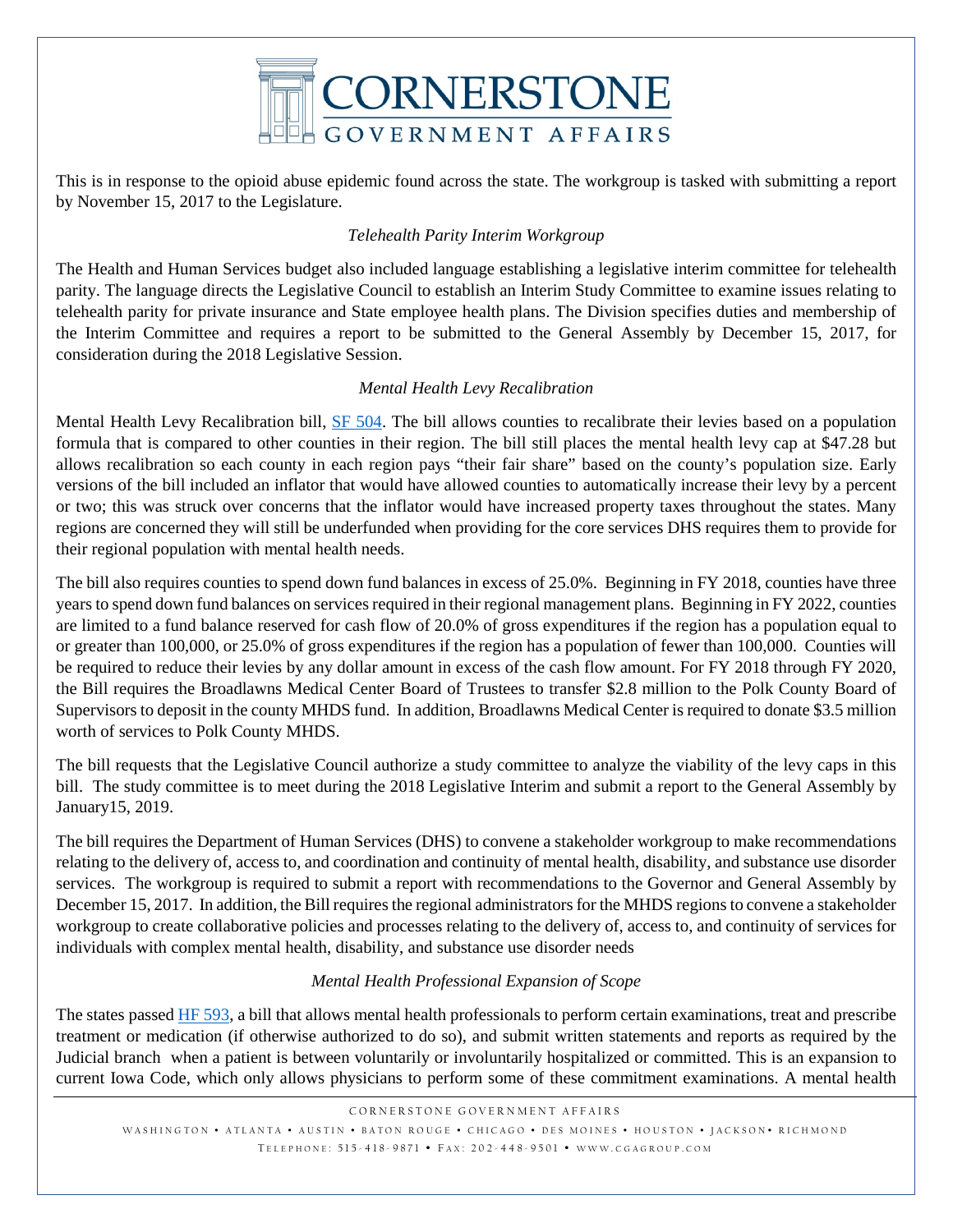

This is in response to the opioid abuse epidemic found across the state. The workgroup is tasked with submitting a report by November 15, 2017 to the Legislature.

## *Telehealth Parity Interim Workgroup*

The Health and Human Services budget also included language establishing a legislative interim committee for telehealth parity. The language directs the Legislative Council to establish an Interim Study Committee to examine issues relating to telehealth parity for private insurance and State employee health plans. The Division specifies duties and membership of the Interim Committee and requires a report to be submitted to the General Assembly by December 15, 2017, for consideration during the 2018 Legislative Session.

### *Mental Health Levy Recalibration*

Mental Health Levy Recalibration bill, [SF 504.](https://www.legis.iowa.gov/legislation/BillBook?ga=87&ba=SF504) The bill allows counties to recalibrate their levies based on a population formula that is compared to other counties in their region. The bill still places the mental health levy cap at \$47.28 but allows recalibration so each county in each region pays "their fair share" based on the county's population size. Early versions of the bill included an inflator that would have allowed counties to automatically increase their levy by a percent or two; this was struck over concerns that the inflator would have increased property taxes throughout the states. Many regions are concerned they will still be underfunded when providing for the core services DHS requires them to provide for their regional population with mental health needs.

The bill also requires counties to spend down fund balances in excess of 25.0%. Beginning in FY 2018, counties have three years to spend down fund balances on services required in their regional management plans. Beginning in FY 2022, counties are limited to a fund balance reserved for cash flow of 20.0% of gross expenditures if the region has a population equal to or greater than 100,000, or 25.0% of gross expenditures if the region has a population of fewer than 100,000. Counties will be required to reduce their levies by any dollar amount in excess of the cash flow amount. For FY 2018 through FY 2020, the Bill requires the Broadlawns Medical Center Board of Trustees to transfer \$2.8 million to the Polk County Board of Supervisors to deposit in the county MHDS fund. In addition, Broadlawns Medical Center is required to donate \$3.5 million worth of services to Polk County MHDS.

The bill requests that the Legislative Council authorize a study committee to analyze the viability of the levy caps in this bill. The study committee is to meet during the 2018 Legislative Interim and submit a report to the General Assembly by January15, 2019.

The bill requires the Department of Human Services (DHS) to convene a stakeholder workgroup to make recommendations relating to the delivery of, access to, and coordination and continuity of mental health, disability, and substance use disorder services. The workgroup is required to submit a report with recommendations to the Governor and General Assembly by December 15, 2017. In addition, the Bill requires the regional administrators for the MHDS regions to convene a stakeholder workgroup to create collaborative policies and processes relating to the delivery of, access to, and continuity of services for individuals with complex mental health, disability, and substance use disorder needs

### *Mental Health Professional Expansion of Scope*

The states passed [HF 593,](https://www.legis.iowa.gov/legislation/BillBook?ga=87&ba=hf593) a bill that allows mental health professionals to perform certain examinations, treat and prescribe treatment or medication (if otherwise authorized to do so), and submit written statements and reports as required by the Judicial branch when a patient is between voluntarily or involuntarily hospitalized or committed. This is an expansion to current Iowa Code, which only allows physicians to perform some of these commitment examinations. A mental health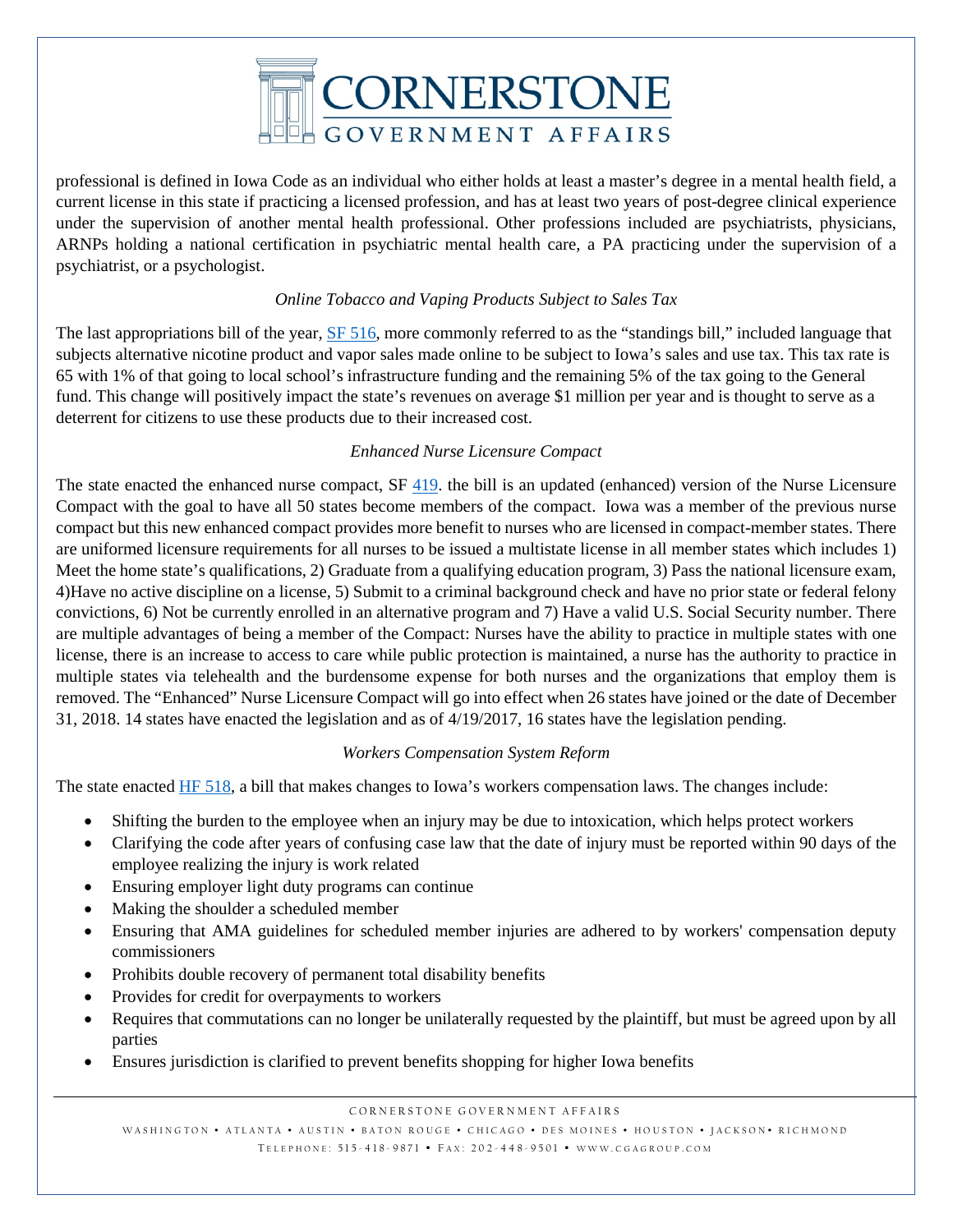

professional is defined in Iowa Code as an individual who either holds at least a master's degree in a mental health field, a current license in this state if practicing a licensed profession, and has at least two years of post-degree clinical experience under the supervision of another mental health professional. Other professions included are psychiatrists, physicians, ARNPs holding a national certification in psychiatric mental health care, a PA practicing under the supervision of a psychiatrist, or a psychologist.

## *Online Tobacco and Vaping Products Subject to Sales Tax*

The last appropriations bill of the year, [SF 516,](https://www.legis.iowa.gov/legislation/BillBook?ba=SF516&ga=87) more commonly referred to as the "standings bill," included language that subjects alternative nicotine product and vapor sales made online to be subject to Iowa's sales and use tax. This tax rate is 65 with 1% of that going to local school's infrastructure funding and the remaining 5% of the tax going to the General fund. This change will positively impact the state's revenues on average \$1 million per year and is thought to serve as a deterrent for citizens to use these products due to their increased cost.

### *Enhanced Nurse Licensure Compact*

The state enacted the enhanced nurse compact, SF [419.](https://www.legis.iowa.gov/legislation/BillBook?ga=87&ba=sf419) the bill is an updated (enhanced) version of the Nurse Licensure Compact with the goal to have all 50 states become members of the compact. Iowa was a member of the previous nurse compact but this new enhanced compact provides more benefit to nurses who are licensed in compact-member states. There are uniformed licensure requirements for all nurses to be issued a multistate license in all member states which includes 1) Meet the home state's qualifications, 2) Graduate from a qualifying education program, 3) Pass the national licensure exam, 4)Have no active discipline on a license, 5) Submit to a criminal background check and have no prior state or federal felony convictions, 6) Not be currently enrolled in an alternative program and 7) Have a valid U.S. Social Security number. There are multiple advantages of being a member of the Compact: Nurses have the ability to practice in multiple states with one license, there is an increase to access to care while public protection is maintained, a nurse has the authority to practice in multiple states via telehealth and the burdensome expense for both nurses and the organizations that employ them is removed. The "Enhanced" Nurse Licensure Compact will go into effect when 26 states have joined or the date of December 31, 2018. 14 states have enacted the legislation and as of 4/19/2017, 16 states have the legislation pending.

#### *Workers Compensation System Reform*

The state enacted [HF 518,](https://www.legis.iowa.gov/legislation/BillBook?ga=87&ba=HF%20518) a bill that makes changes to Iowa's workers compensation laws. The changes include:

- Shifting the burden to the employee when an injury may be due to intoxication, which helps protect workers
- Clarifying the code after years of confusing case law that the date of injury must be reported within 90 days of the employee realizing the injury is work related
- Ensuring employer light duty programs can continue
- Making the shoulder a scheduled member
- Ensuring that AMA guidelines for scheduled member injuries are adhered to by workers' compensation deputy commissioners
- Prohibits double recovery of permanent total disability benefits
- Provides for credit for overpayments to workers
- Requires that commutations can no longer be unilaterally requested by the plaintiff, but must be agreed upon by all parties
- Ensures jurisdiction is clarified to prevent benefits shopping for higher Iowa benefits

CORNERSTONE GOVERNMENT AFFAIRS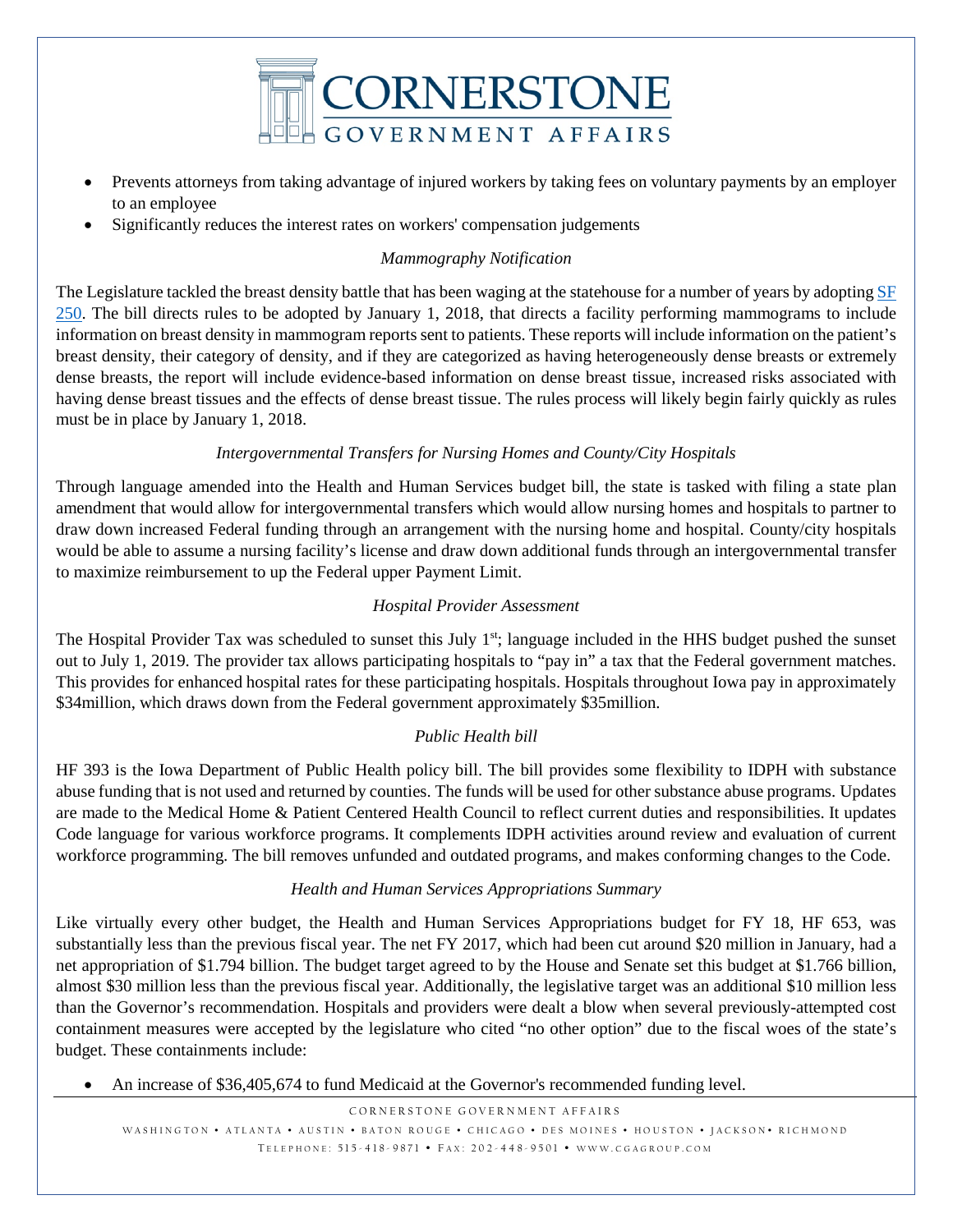

- Prevents attorneys from taking advantage of injured workers by taking fees on voluntary payments by an employer to an employee
- Significantly reduces the interest rates on workers' compensation judgements

## *Mammography Notification*

The Legislature tackled the breast density battle that has been waging at the statehouse for a number of years by adopting SF [250.](https://www.legis.iowa.gov/legislation/BillBook?ga=87&ba=SF250) The bill directs rules to be adopted by January 1, 2018, that directs a facility performing mammograms to include information on breast density in mammogram reports sent to patients. These reports will include information on the patient's breast density, their category of density, and if they are categorized as having heterogeneously dense breasts or extremely dense breasts, the report will include evidence-based information on dense breast tissue, increased risks associated with having dense breast tissues and the effects of dense breast tissue. The rules process will likely begin fairly quickly as rules must be in place by January 1, 2018.

### *Intergovernmental Transfers for Nursing Homes and County/City Hospitals*

Through language amended into the Health and Human Services budget bill, the state is tasked with filing a state plan amendment that would allow for intergovernmental transfers which would allow nursing homes and hospitals to partner to draw down increased Federal funding through an arrangement with the nursing home and hospital. County/city hospitals would be able to assume a nursing facility's license and draw down additional funds through an intergovernmental transfer to maximize reimbursement to up the Federal upper Payment Limit.

## *Hospital Provider Assessment*

The Hospital Provider Tax was scheduled to sunset this July  $1<sup>st</sup>$ ; language included in the HHS budget pushed the sunset out to July 1, 2019. The provider tax allows participating hospitals to "pay in" a tax that the Federal government matches. This provides for enhanced hospital rates for these participating hospitals. Hospitals throughout Iowa pay in approximately \$34million, which draws down from the Federal government approximately \$35million.

# *Public Health bill*

HF 393 is the Iowa Department of Public Health policy bill. The bill provides some flexibility to IDPH with substance abuse funding that is not used and returned by counties. The funds will be used for other substance abuse programs. Updates are made to the Medical Home & Patient Centered Health Council to reflect current duties and responsibilities. It updates Code language for various workforce programs. It complements IDPH activities around review and evaluation of current workforce programming. The bill removes unfunded and outdated programs, and makes conforming changes to the Code.

### *Health and Human Services Appropriations Summary*

Like virtually every other budget, the Health and Human Services Appropriations budget for FY 18, HF 653, was substantially less than the previous fiscal year. The net FY 2017, which had been cut around \$20 million in January, had a net appropriation of \$1.794 billion. The budget target agreed to by the House and Senate set this budget at \$1.766 billion, almost \$30 million less than the previous fiscal year. Additionally, the legislative target was an additional \$10 million less than the Governor's recommendation. Hospitals and providers were dealt a blow when several previously-attempted cost containment measures were accepted by the legislature who cited "no other option" due to the fiscal woes of the state's budget. These containments include:

• An increase of \$36,405,674 to fund Medicaid at the Governor's recommended funding level.

CORNERSTONE GOVERNMENT AFFAIRS WASHINGTON • ATLANTA • AUSTIN • BATON ROUGE • CHICAGO • DES MOINES • HOUSTON • JACKSON • RICHMOND TELEPHONE: 515-418-9871 • FAX: 202-448-9501 • WWW.CGAGROUP.COM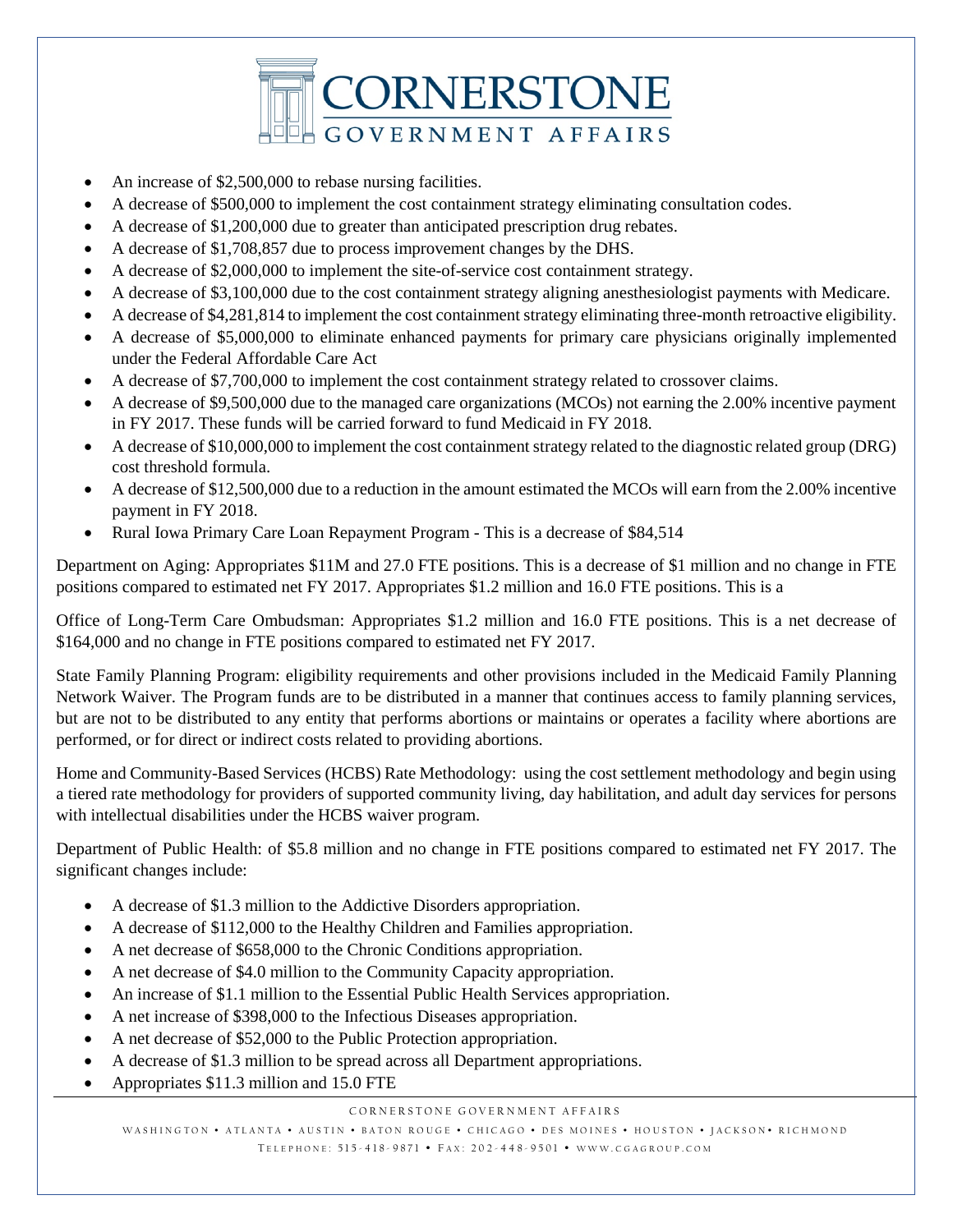

- An increase of \$2,500,000 to rebase nursing facilities.
- A decrease of \$500,000 to implement the cost containment strategy eliminating consultation codes.
- A decrease of \$1,200,000 due to greater than anticipated prescription drug rebates.
- A decrease of \$1,708,857 due to process improvement changes by the DHS.
- A decrease of \$2,000,000 to implement the site-of-service cost containment strategy.
- A decrease of \$3,100,000 due to the cost containment strategy aligning anesthesiologist payments with Medicare.
- A decrease of \$4,281,814 to implement the cost containment strategy eliminating three-month retroactive eligibility.
- A decrease of \$5,000,000 to eliminate enhanced payments for primary care physicians originally implemented under the Federal Affordable Care Act
- A decrease of \$7,700,000 to implement the cost containment strategy related to crossover claims.
- A decrease of \$9,500,000 due to the managed care organizations (MCOs) not earning the 2.00% incentive payment in FY 2017. These funds will be carried forward to fund Medicaid in FY 2018.
- A decrease of \$10,000,000 to implement the cost containment strategy related to the diagnostic related group (DRG) cost threshold formula.
- A decrease of \$12,500,000 due to a reduction in the amount estimated the MCOs will earn from the 2.00% incentive payment in FY 2018.
- Rural Iowa Primary Care Loan Repayment Program This is a decrease of \$84,514

Department on Aging: Appropriates \$11M and 27.0 FTE positions. This is a decrease of \$1 million and no change in FTE positions compared to estimated net FY 2017. Appropriates \$1.2 million and 16.0 FTE positions. This is a

Office of Long-Term Care Ombudsman: Appropriates \$1.2 million and 16.0 FTE positions. This is a net decrease of \$164,000 and no change in FTE positions compared to estimated net FY 2017.

State Family Planning Program: eligibility requirements and other provisions included in the Medicaid Family Planning Network Waiver. The Program funds are to be distributed in a manner that continues access to family planning services, but are not to be distributed to any entity that performs abortions or maintains or operates a facility where abortions are performed, or for direct or indirect costs related to providing abortions.

Home and Community-Based Services (HCBS) Rate Methodology: using the cost settlement methodology and begin using a tiered rate methodology for providers of supported community living, day habilitation, and adult day services for persons with intellectual disabilities under the HCBS waiver program.

Department of Public Health: of \$5.8 million and no change in FTE positions compared to estimated net FY 2017. The significant changes include:

- A decrease of \$1.3 million to the Addictive Disorders appropriation.
- A decrease of \$112,000 to the Healthy Children and Families appropriation.
- A net decrease of \$658,000 to the Chronic Conditions appropriation.
- A net decrease of \$4.0 million to the Community Capacity appropriation.
- An increase of \$1.1 million to the Essential Public Health Services appropriation.
- A net increase of \$398,000 to the Infectious Diseases appropriation.
- A net decrease of \$52,000 to the Public Protection appropriation.
- A decrease of \$1.3 million to be spread across all Department appropriations.
- Appropriates \$11.3 million and 15.0 FTE

CORNERSTONE GOVERNMENT AFFAIRS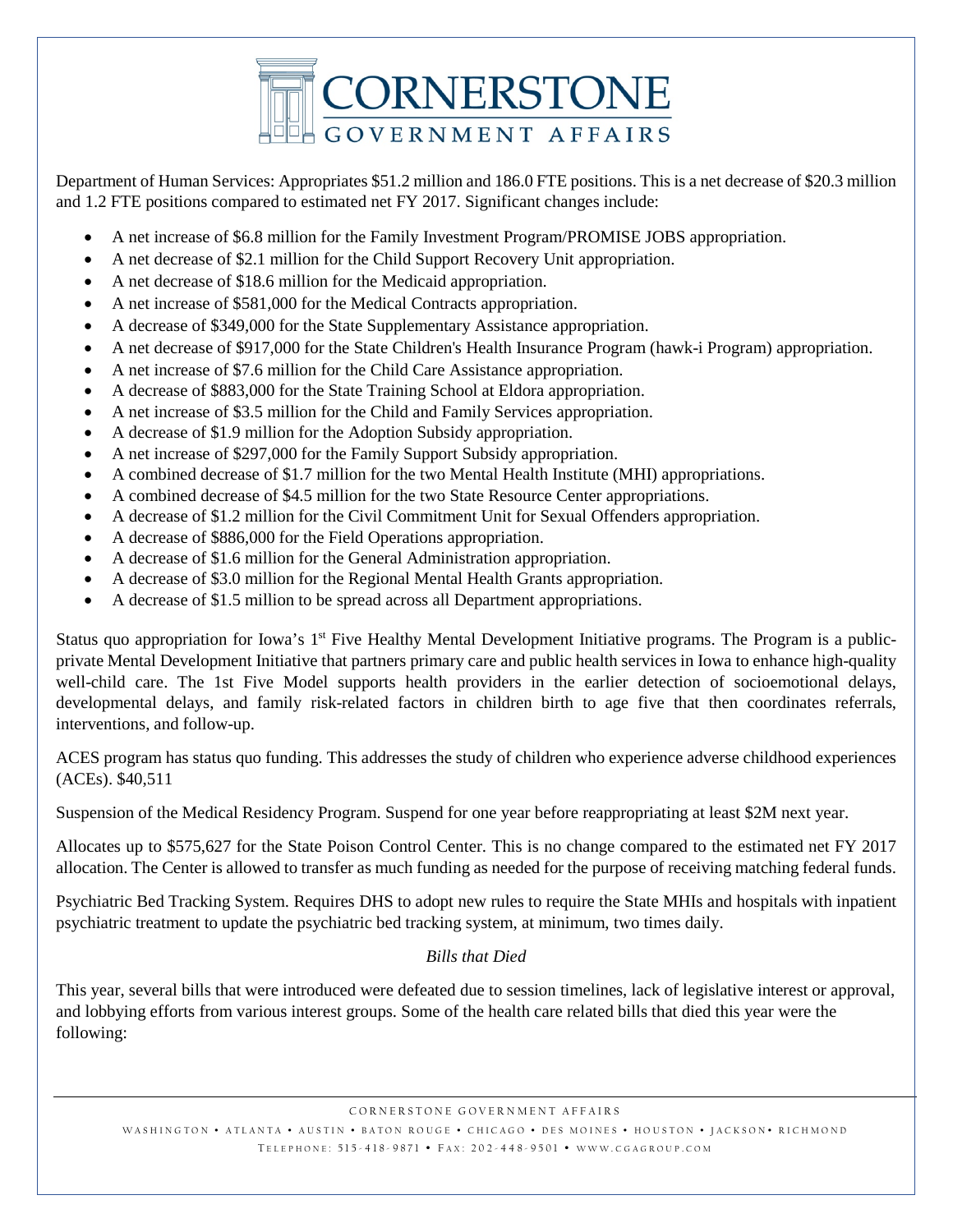

Department of Human Services: Appropriates \$51.2 million and 186.0 FTE positions. This is a net decrease of \$20.3 million and 1.2 FTE positions compared to estimated net FY 2017. Significant changes include:

- A net increase of \$6.8 million for the Family Investment Program/PROMISE JOBS appropriation.
- A net decrease of \$2.1 million for the Child Support Recovery Unit appropriation.
- A net decrease of \$18.6 million for the Medicaid appropriation.
- A net increase of \$581,000 for the Medical Contracts appropriation.
- A decrease of \$349,000 for the State Supplementary Assistance appropriation.
- A net decrease of \$917,000 for the State Children's Health Insurance Program (hawk-i Program) appropriation.
- A net increase of \$7.6 million for the Child Care Assistance appropriation.
- A decrease of \$883,000 for the State Training School at Eldora appropriation.
- A net increase of \$3.5 million for the Child and Family Services appropriation.
- A decrease of \$1.9 million for the Adoption Subsidy appropriation.
- A net increase of \$297,000 for the Family Support Subsidy appropriation.
- A combined decrease of \$1.7 million for the two Mental Health Institute (MHI) appropriations.
- A combined decrease of \$4.5 million for the two State Resource Center appropriations.
- A decrease of \$1.2 million for the Civil Commitment Unit for Sexual Offenders appropriation.
- A decrease of \$886,000 for the Field Operations appropriation.
- A decrease of \$1.6 million for the General Administration appropriation.
- A decrease of \$3.0 million for the Regional Mental Health Grants appropriation.
- A decrease of \$1.5 million to be spread across all Department appropriations.

Status quo appropriation for Iowa's  $1<sup>st</sup>$  Five Healthy Mental Development Initiative programs. The Program is a publicprivate Mental Development Initiative that partners primary care and public health services in Iowa to enhance high-quality well-child care. The 1st Five Model supports health providers in the earlier detection of socioemotional delays, developmental delays, and family risk-related factors in children birth to age five that then coordinates referrals, interventions, and follow-up.

ACES program has status quo funding. This addresses the study of children who experience adverse childhood experiences (ACEs). \$40,511

Suspension of the Medical Residency Program. Suspend for one year before reappropriating at least \$2M next year.

Allocates up to \$575,627 for the State Poison Control Center. This is no change compared to the estimated net FY 2017 allocation. The Center is allowed to transfer as much funding as needed for the purpose of receiving matching federal funds.

Psychiatric Bed Tracking System. Requires DHS to adopt new rules to require the State MHIs and hospitals with inpatient psychiatric treatment to update the psychiatric bed tracking system, at minimum, two times daily.

### *Bills that Died*

This year, several bills that were introduced were defeated due to session timelines, lack of legislative interest or approval, and lobbying efforts from various interest groups. Some of the health care related bills that died this year were the following:

WASHINGTON • ATLANTA • AUSTIN • BATON ROUGE • CHICAGO • DES MOINES • HOUSTON • JACKSON • RICHMOND TELEPHONE: 515-418-9871 • FAX: 202-448-9501 • WWW.CGAGROUP.COM